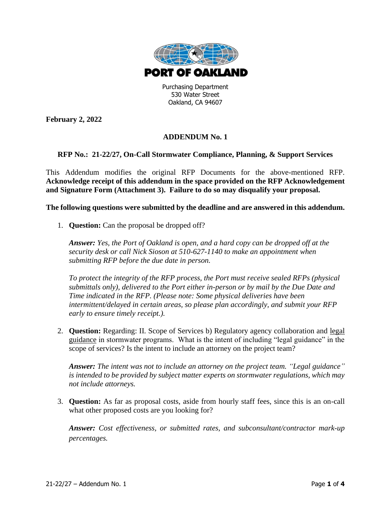

530 Water Street Oakland, CA 94607

**February 2, 2022**

## **ADDENDUM No. 1**

## **RFP No.: 21-22/27, On-Call Stormwater Compliance, Planning, & Support Services**

This Addendum modifies the original RFP Documents for the above-mentioned RFP. **Acknowledge receipt of this addendum in the space provided on the RFP Acknowledgement and Signature Form (Attachment 3). Failure to do so may disqualify your proposal.**

**The following questions were submitted by the deadline and are answered in this addendum.**

1. **Question:** Can the proposal be dropped off?

*Answer: Yes, the Port of Oakland is open, and a hard copy can be dropped off at the security desk or call Nick Sioson at 510-627-1140 to make an appointment when submitting RFP before the due date in person.* 

*To protect the integrity of the RFP process, the Port must receive sealed RFPs (physical submittals only), delivered to the Port either in-person or by mail by the Due Date and Time indicated in the RFP. (Please note: Some physical deliveries have been intermittent/delayed in certain areas, so please plan accordingly, and submit your RFP early to ensure timely receipt.).*

2. **Question:** Regarding: II. Scope of Services b) Regulatory agency collaboration and legal guidance in stormwater programs. What is the intent of including "legal guidance" in the scope of services? Is the intent to include an attorney on the project team?

*Answer: The intent was not to include an attorney on the project team. "Legal guidance" is intended to be provided by subject matter experts on stormwater regulations, which may not include attorneys.*

3. **Question:** As far as proposal costs, aside from hourly staff fees, since this is an on-call what other proposed costs are you looking for?

*Answer: Cost effectiveness, or submitted rates, and subconsultant/contractor mark-up percentages.*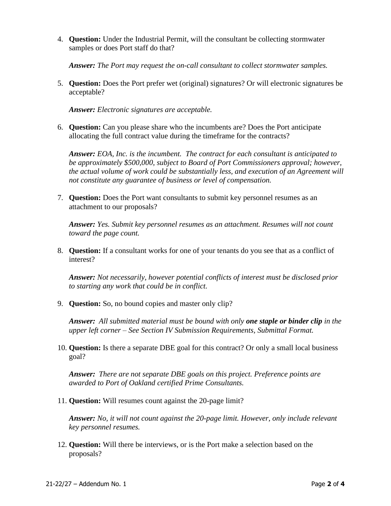4. **Question:** Under the Industrial Permit, will the consultant be collecting stormwater samples or does Port staff do that?

*Answer: The Port may request the on-call consultant to collect stormwater samples.*

5. **Question:** Does the Port prefer wet (original) signatures? Or will electronic signatures be acceptable?

*Answer: Electronic signatures are acceptable.* 

6. **Question:** Can you please share who the incumbents are? Does the Port anticipate allocating the full contract value during the timeframe for the contracts?

*Answer: EOA, Inc. is the incumbent. The contract for each consultant is anticipated to be approximately \$500,000, subject to Board of Port Commissioners approval; however, the actual volume of work could be substantially less, and execution of an Agreement will not constitute any guarantee of business or level of compensation.*

7. **Question:** Does the Port want consultants to submit key personnel resumes as an attachment to our proposals?

*Answer: Yes. Submit key personnel resumes as an attachment. Resumes will not count toward the page count.* 

8. **Question:** If a consultant works for one of your tenants do you see that as a conflict of interest?

*Answer: Not necessarily, however potential conflicts of interest must be disclosed prior to starting any work that could be in conflict.* 

9. **Question:** So, no bound copies and master only clip?

*Answer: All submitted material must be bound with only one staple or binder clip in the upper left corner – See Section IV Submission Requirements, Submittal Format.*

10. **Question:** Is there a separate DBE goal for this contract? Or only a small local business goal?

*Answer: There are not separate DBE goals on this project. Preference points are awarded to Port of Oakland certified Prime Consultants.*

11. **Question:** Will resumes count against the 20-page limit?

*Answer: No, it will not count against the 20-page limit. However, only include relevant key personnel resumes.*

12. **Question:** Will there be interviews, or is the Port make a selection based on the proposals?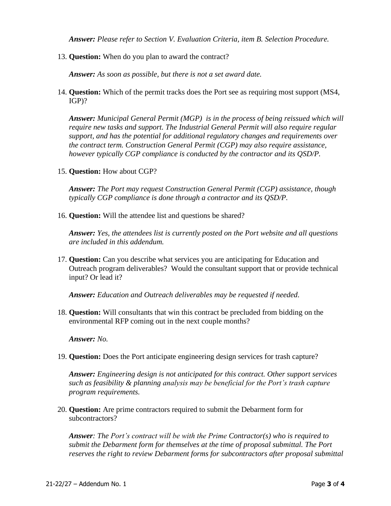*Answer: Please refer to Section V. Evaluation Criteria, item B. Selection Procedure.* 

13. **Question:** When do you plan to award the contract?

*Answer: As soon as possible, but there is not a set award date.* 

14. **Question:** Which of the permit tracks does the Port see as requiring most support (MS4, IGP)?

*Answer: Municipal General Permit (MGP) is in the process of being reissued which will require new tasks and support. The Industrial General Permit will also require regular support, and has the potential for additional regulatory changes and requirements over the contract term. Construction General Permit (CGP) may also require assistance, however typically CGP compliance is conducted by the contractor and its QSD/P.*

15. **Question:** How about CGP?

*Answer: The Port may request Construction General Permit (CGP) assistance, though typically CGP compliance is done through a contractor and its QSD/P.*

16. **Question:** Will the attendee list and questions be shared?

*Answer: Yes, the attendees list is currently posted on the Port website and all questions are included in this addendum.*

17. **Question:** Can you describe what services you are anticipating for Education and Outreach program deliverables? Would the consultant support that or provide technical input? Or lead it?

*Answer: Education and Outreach deliverables may be requested if needed.* 

18. **Question:** Will consultants that win this contract be precluded from bidding on the environmental RFP coming out in the next couple months?

*Answer: No.*

19. **Question:** Does the Port anticipate engineering design services for trash capture?

*Answer: Engineering design is not anticipated for this contract. Other support services such as feasibility & planning analysis may be beneficial for the Port's trash capture program requirements.*

20. **Question:** Are prime contractors required to submit the Debarment form for subcontractors?

*Answer: The Port's contract will be with the Prime Contractor(s) who is required to submit the Debarment form for themselves at the time of proposal submittal. The Port reserves the right to review Debarment forms for subcontractors after proposal submittal*